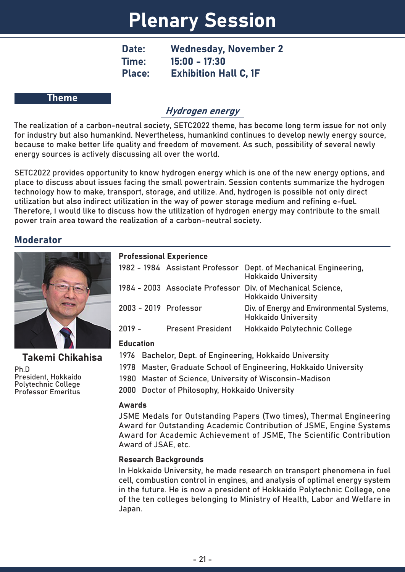# Plenary Session

Date: Wednesday, November 2 Time: 15:00 - 17:30 Place: Exhibition Hall C, 1F

#### Theme

# Hydrogen energy

The realization of a carbon-neutral society, SETC2022 theme, has become long term issue for not only for industry but also humankind. Nevertheless, humankind continues to develop newly energy source, because to make better life quality and freedom of movement. As such, possibility of several newly energy sources is actively discussing all over the world.

SETC2022 provides opportunity to know hydrogen energy which is one of the new energy options, and place to discuss about issues facing the small powertrain. Session contents summarize the hydrogen technology how to make, transport, storage, and utilize. And, hydrogen is possible not only direct utilization but also indirect utilization in the way of power storage medium and refining e-fuel. Therefore, I would like to discuss how the utilization of hydrogen energy may contribute to the small power train area toward the realization of a carbon-neutral society.

# Moderator



Ph.D President, Hokkaido Polytechnic College Professor Emeritus Takemi Chikahisa

### Professional Experience

|          |                          | 1982 - 1984 Assistant Professor Dept. of Mechanical Engineering,<br><b>Hokkaido University</b> |
|----------|--------------------------|------------------------------------------------------------------------------------------------|
|          |                          | 1984 - 2003 Associate Professor Div. of Mechanical Science,<br><b>Hokkaido University</b>      |
|          | 2003 - 2019 Professor    | Div. of Energy and Environmental Systems,<br><b>Hokkaido University</b>                        |
| $2019 -$ | <b>Present President</b> | Hokkaido Polytechnic College                                                                   |

### Education

1976 Bachelor, Dept. of Engineering, Hokkaido University

- 1978 Master, Graduate School of Engineering, Hokkaido University
- 1980 Master of Science, University of Wisconsin-Madison

2000 Doctor of Philosophy, Hokkaido University

### Awards

JSME Medals for Outstanding Papers (Two times), Thermal Engineering Award for Outstanding Academic Contribution of JSME, Engine Systems Award for Academic Achievement of JSME, The Scientific Contribution Award of JSAE, etc.

### Research Backgrounds

In Hokkaido University, he made research on transport phenomena in fuel cell, combustion control in engines, and analysis of optimal energy system in the future. He is now a president of Hokkaido Polytechnic College, one of the ten colleges belonging to Ministry of Health, Labor and Welfare in Japan.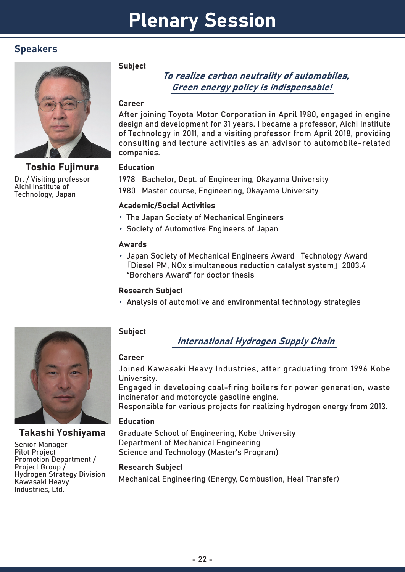# Speakers



Dr. / Visiting professor Aichi Institute of Technology, Japan Toshio Fujimura

#### **Subject**

# To realize carbon neutrality of automobiles, Green energy policy is indispensable!

### Career

After joining Toyota Motor Corporation in April 1980, engaged in engine design and development for 31 years. I became a professor, Aichi Institute of Technology in 2011, and a visiting professor from April 2018, providing consulting and lecture activities as an advisor to automobile-related companies.

### **Education**

1978 Bachelor, Dept. of Engineering, Okayama University 1980 Master course, Engineering, Okayama University

# Academic/Social Activities

- ・ The Japan Society of Mechanical Engineers
- ・ Society of Automotive Engineers of Japan

## Awards

・ Japan Society of Mechanical Engineers Award Technology Award 「Diesel PM, NOx simultaneous reduction catalyst system」2003.4 "Borchers Award" for doctor thesis

# Research Subject

・ Analysis of automotive and environmental technology strategies



# Takashi Yoshiyama

Senior Manager Pilot Project Promotion Department / Project Group / Hydrogen Strategy Division Kawasaki Heavy Industries, Ltd.

# **Subject**

International Hydrogen Supply Chain

# Career

Joined Kawasaki Heavy Industries, after graduating from 1996 Kobe University.

Engaged in developing coal-firing boilers for power generation, waste incinerator and motorcycle gasoline engine.

Responsible for various projects for realizing hydrogen energy from 2013.

# **Education**

Graduate School of Engineering, Kobe University Department of Mechanical Engineering Science and Technology (Master's Program)

# Research Subject

Mechanical Engineering (Energy, Combustion, Heat Transfer)